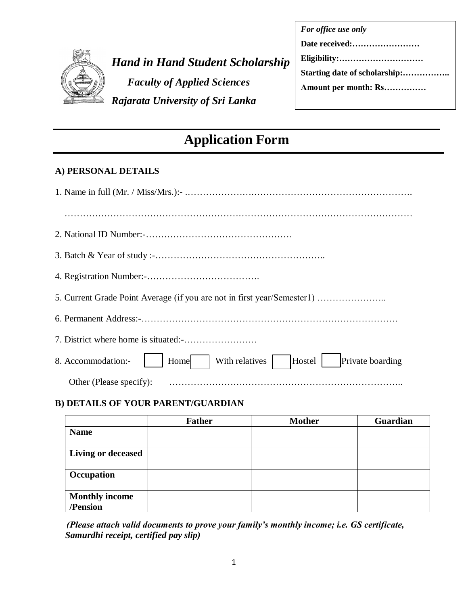

*Hand in Hand Student Scholarship* *Faculty of Applied Sciences Rajarata University of Sri Lanka*

| For office use only  |
|----------------------|
| Date received:       |
| Eligibility:         |
|                      |
| Amount per month: Rs |
|                      |

# **Application Form**

### **A) PERSONAL DETAILS**

| 5. Current Grade Point Average (if you are not in first year/Semester1)    |
|----------------------------------------------------------------------------|
|                                                                            |
|                                                                            |
| Private boarding<br>With relatives<br>Hostel<br>8. Accommodation:-<br>Home |
| Other (Please specify):                                                    |

### **B) DETAILS OF YOUR PARENT/GUARDIAN**

|                       | <b>Father</b> | <b>Mother</b> | Guardian |
|-----------------------|---------------|---------------|----------|
| <b>Name</b>           |               |               |          |
| Living or deceased    |               |               |          |
| Occupation            |               |               |          |
| <b>Monthly income</b> |               |               |          |
| /Pension              |               |               |          |

 *(Please attach valid documents to prove your family's monthly income; i.e. GS certificate, Samurdhi receipt, certified pay slip)*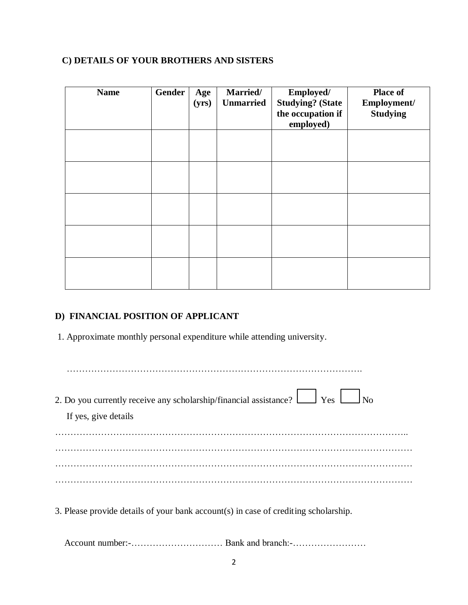## **C) DETAILS OF YOUR BROTHERS AND SISTERS**

| <b>Name</b> | Gender | Age<br>(yrs) | Married/<br><b>Unmarried</b> | Employed/<br><b>Studying? (State</b><br>the occupation if<br>employed) | <b>Place of</b><br>Employment/<br><b>Studying</b> |
|-------------|--------|--------------|------------------------------|------------------------------------------------------------------------|---------------------------------------------------|
|             |        |              |                              |                                                                        |                                                   |
|             |        |              |                              |                                                                        |                                                   |
|             |        |              |                              |                                                                        |                                                   |
|             |        |              |                              |                                                                        |                                                   |
|             |        |              |                              |                                                                        |                                                   |

#### **D) FINANCIAL POSITION OF APPLICANT**

1. Approximate monthly personal expenditure while attending university.

| 2. Do you currently receive any scholarship/financial assistance? $\Box$ Yes $\Box$ No<br>If yes, give details |
|----------------------------------------------------------------------------------------------------------------|
|                                                                                                                |
|                                                                                                                |
|                                                                                                                |
|                                                                                                                |
| 3. Please provide details of your bank account(s) in case of crediting scholarship.                            |

Account number:-………………………… Bank and branch:-……………………